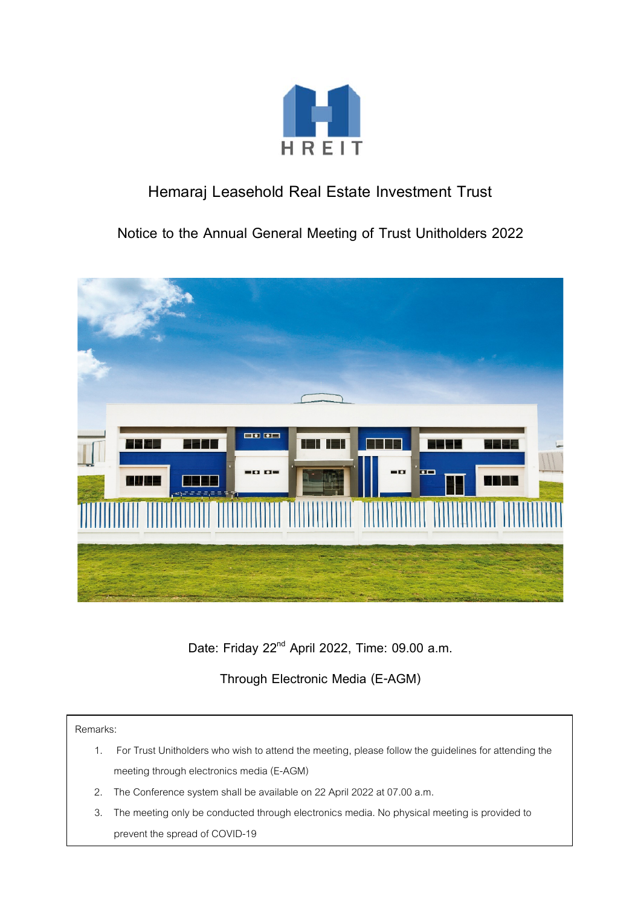

# **Hemaraj Leasehold Real Estate Investment Trust**

**Notice to the Annual General Meeting of Trust Unitholders 2022**



**Date: Friday 22nd April 2022, Time: 09.00 a.m.**

**Through Electronic Media (E-AGM)**

Remarks:

- 1. For Trust Unitholders who wish to attend the meeting, please follow the guidelines for attending the meeting through electronics media(E-AGM)
- 2. The Conference system shall be available on 22 April 2022 at 07.00 a.m.
- 3. The meeting only be conducted through electronics media. No physical meeting is provided to prevent the spread of COVID-19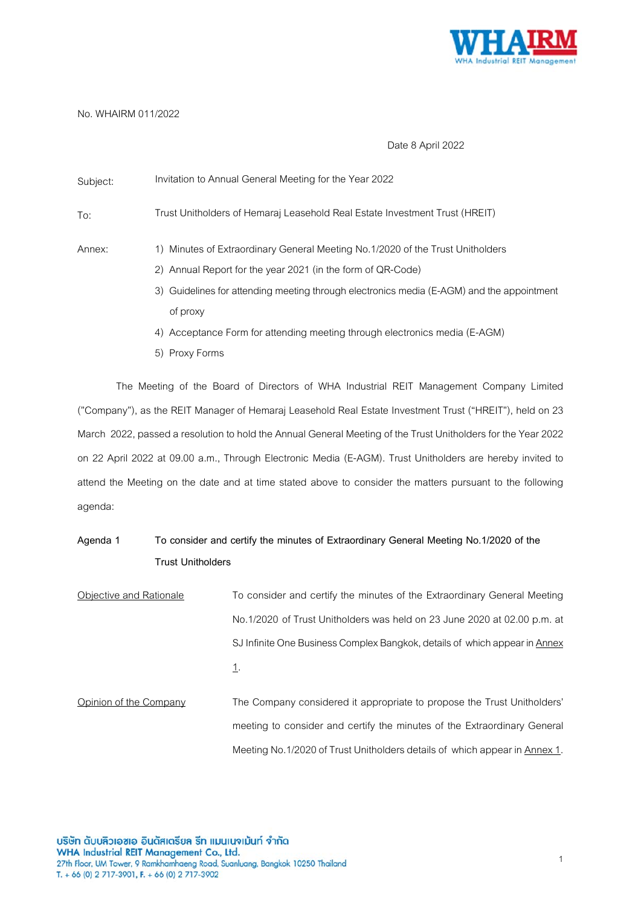

## No. WHAIRM 011/2022

## Date 8 April 2022

| Subject: | Invitation to Annual General Meeting for the Year 2022                                                                                        |
|----------|-----------------------------------------------------------------------------------------------------------------------------------------------|
| To:      | Trust Unitholders of Hemaraj Leasehold Real Estate Investment Trust (HREIT)                                                                   |
| Annex:   | 1) Minutes of Extraordinary General Meeting No.1/2020 of the Trust Unitholders<br>2) Annual Report for the year 2021 (in the form of QR-Code) |
|          | 3) Guidelines for attending meeting through electronics media (E-AGM) and the appointment                                                     |
|          | of proxy                                                                                                                                      |
|          | 4) Acceptance Form for attending meeting through electronics media (E-AGM)                                                                    |
|          | 5) Proxy Forms                                                                                                                                |

The Meeting of the Board of Directors of WHA Industrial REIT Management Company Limited ("Company"), as the REIT Manager of Hemaraj Leasehold Real Estate Investment Trust ("HREIT"), held on 23 March 2022, passed a resolution to hold the Annual General Meeting of the Trust Unitholders for the Year 2022 on 22 April 2022 at 09.00 a.m., Through Electronic Media (E-AGM). Trust Unitholders are hereby invited to attend the Meeting on the date and at time stated above to consider the matters pursuant to the following agenda:

## **Agenda 1 To consider and certify the minutes of Extraordinary General Meeting No.1/2020 of the Trust Unitholders**

Objective and Rationale To consider and certify the minutes of the Extraordinary General Meeting No.1/2020 of Trust Unitholders was held on 23 June 2020 at 02.00 p.m. at SJ Infinite One Business Complex Bangkok, details of which appear in Annex 1. Opinion of the Company The Company considered it appropriate to propose the Trust Unitholders' meeting to consider and certify the minutes of the Extraordinary General Meeting No.1/2020 of Trust Unitholders details of which appear in Annex 1.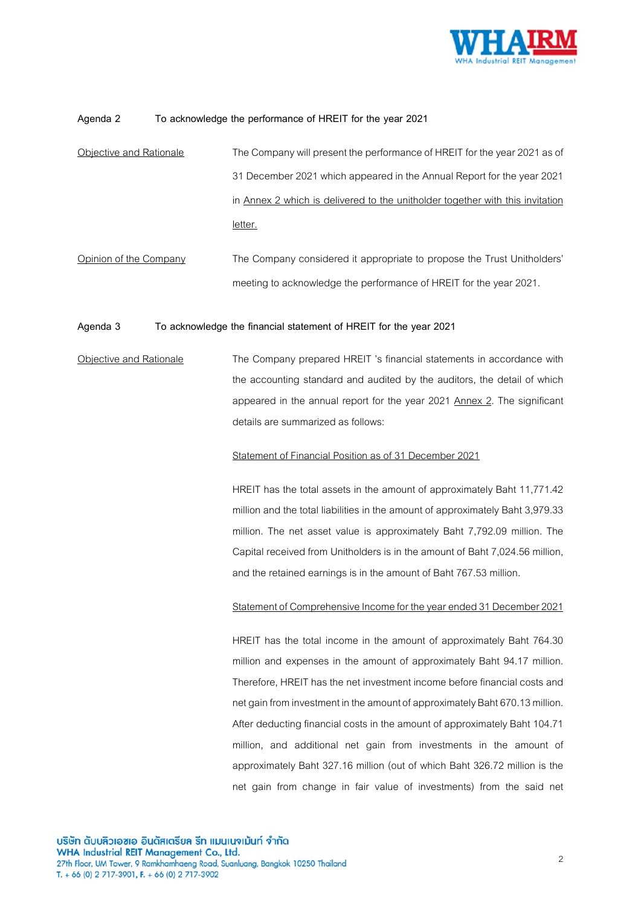

### **Agenda 2 To acknowledge the performance of HREIT for the year 2021**

- Objective and Rationale The Company will present the performance of HREIT for the year 2021 as of 31 December 2021 which appeared in the Annual Report for the year 2021 in Annex 2 which is delivered to the unitholder together with this invitation letter.
- Opinion of the Company The Company considered it appropriate to propose the Trust Unitholders' meeting to acknowledge the performance of HREIT for the year 2021.

## **Agenda 3 To acknowledge the financial statement of HREIT for the year 2021**

Objective and Rationale The Company prepared HREIT 's financial statements in accordance with the accounting standard and audited by the auditors, the detail of which appeared in the annual report for the year 2021 Annex 2. The significant details are summarized as follows:

#### Statement of Financial Position as of 31 December 2021

HREIT has the total assets in the amount of approximately Baht 11,771.42 million and the total liabilities in the amount of approximately Baht 3,979.33 million. The net asset value is approximately Baht 7,792.09 million. The Capital received from Unitholders is in the amount of Baht 7,024.56 million, and the retained earnings is in the amount of Baht 767.53 million.

#### Statement of Comprehensive Income for the year ended 31 December 2021

HREIT has the total income in the amount of approximately Baht 764.30 million and expenses in the amount of approximately Baht 94.17 million. Therefore, HREIT has the net investment income before financial costs and net gain from investment in the amount of approximately Baht 670.13million. After deducting financial costs in the amount of approximately Baht 104.71 million, and additional net gain from investments in the amount of approximately Baht 327.16 million (out of which Baht 326.72 million is the net gain from change in fair value of investments) from the said net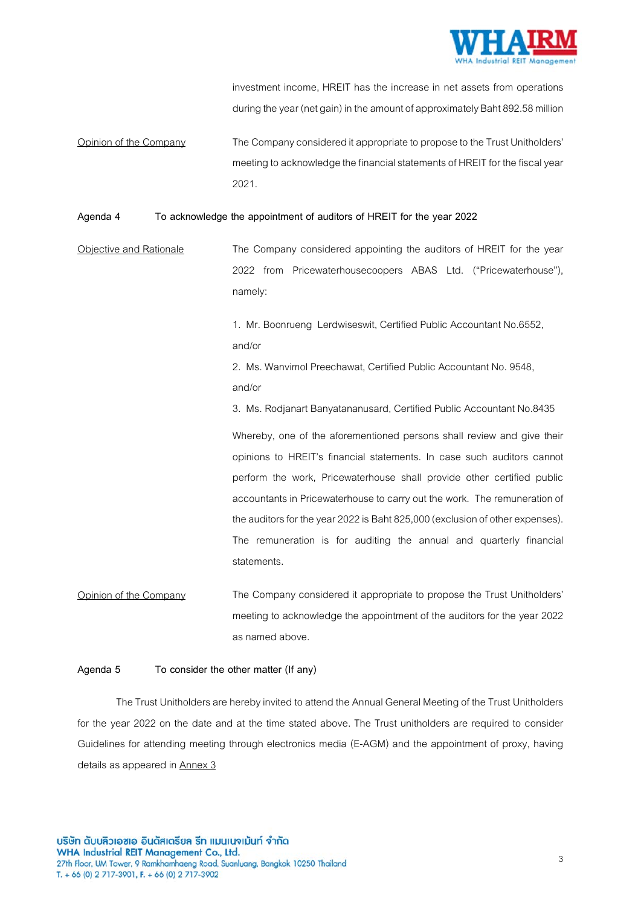

investment income, HREIT has the increase in net assets from operations during the year (net gain) in the amount of approximately Baht 892.58million

Opinion of the Company The Companyconsidered it appropriate to propose to the Trust Unitholders' meeting to acknowledge the financial statements of HREIT for the fiscal year 2021.

## **Agenda 4 To acknowledge the appointment of auditors of HREIT for the year 2022**

Objective and Rationale The Company considered appointing the auditors of HREIT for the year 2022 from Pricewaterhousecoopers ABAS Ltd. ("Pricewaterhouse"), namely:

> 1. Mr. Boonrueng Lerdwiseswit, Certified Public Accountant No.6552, and/or

2. Ms. Wanvimol Preechawat, Certified Public Accountant No. 9548, and/or

3. Ms. Rodjanart Banyatananusard, Certified Public Accountant No.8435

Whereby, one of the aforementioned persons shall review and give their opinions to HREIT's financial statements. In case such auditors cannot perform the work, Pricewaterhouse shall provide other certified public accountants in Pricewaterhouse to carry out the work. The remuneration of the auditors for the year 2022 is Baht 825,000 (exclusion of other expenses). The remuneration is for auditing the annual and quarterly financial statements.

Opinion of the Company The Company considered it appropriate to propose the Trust Unitholders' meeting to acknowledge the appointment of the auditors for the year 2022 as named above.

#### **Agenda 5 To consider the other matter (If any)**

The Trust Unitholders are hereby invited to attend the Annual General Meeting of the Trust Unitholders for the year 2022 on the date and at the time stated above. The Trust unitholders are required to consider Guidelines for attending meeting through electronics media (E-AGM) and the appointment of proxy, having details as appeared in **Annex 3**